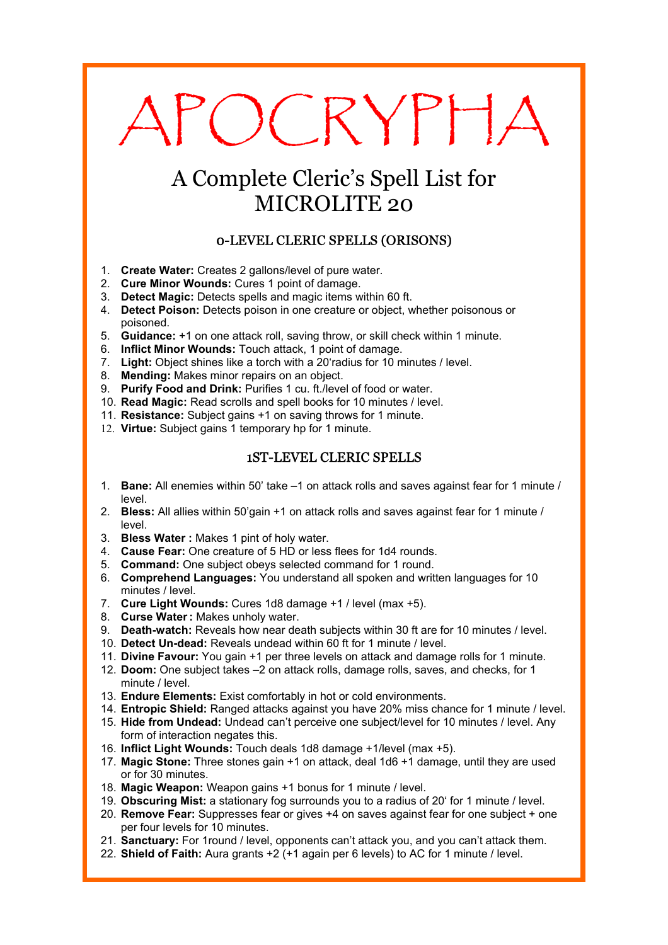# APOCRYPHA

# A Complete Cleric's Spell List for MICROLITE 20

# 0-LEVEL CLERIC SPELLS (ORISONS)

- 1. **Create Water:** Creates 2 gallons/level of pure water.
- 2. **Cure Minor Wounds:** Cures 1 point of damage.
- 3. **Detect Magic:** Detects spells and magic items within 60 ft.
- 4. **Detect Poison:** Detects poison in one creature or object, whether poisonous or poisoned.
- 5. **Guidance:** +1 on one attack roll, saving throw, or skill check within 1 minute.
- 6. **Inflict Minor Wounds:** Touch attack, 1 point of damage.
- 7. **Light:** Object shines like a torch with a 20'radius for 10 minutes / level.
- 8. **Mending:** Makes minor repairs on an object.
- 9. **Purify Food and Drink:** Purifies 1 cu. ft./level of food or water.
- 10. **Read Magic:** Read scrolls and spell books for 10 minutes / level.
- 11. **Resistance:** Subject gains +1 on saving throws for 1 minute.
- 12. **Virtue:** Subject gains 1 temporary hp for 1 minute.

# 1ST-LEVEL CLERIC SPELLS

- 1. **Bane:** All enemies within 50' take –1 on attack rolls and saves against fear for 1 minute / level.
- 2. **Bless:** All allies within 50'gain +1 on attack rolls and saves against fear for 1 minute / level.
- 3. **Bless Water :** Makes 1 pint of holy water.
- 4. **Cause Fear:** One creature of 5 HD or less flees for 1d4 rounds.
- 5. **Command:** One subject obeys selected command for 1 round.
- 6. **Comprehend Languages:** You understand all spoken and written languages for 10 minutes / level.
- 7. **Cure Light Wounds:** Cures 1d8 damage +1 / level (max +5).
- 8. **Curse Water:** Makes unholy water.
- 9. **Death-watch:** Reveals how near death subjects within 30 ft are for 10 minutes / level.
- 10. **Detect Un-dead:** Reveals undead within 60 ft for 1 minute / level.
- 11. **Divine Favour:** You gain +1 per three levels on attack and damage rolls for 1 minute.
- 12. **Doom:** One subject takes –2 on attack rolls, damage rolls, saves, and checks, for 1 minute / level.
- 13. **Endure Elements:** Exist comfortably in hot or cold environments.
- 14. **Entropic Shield:** Ranged attacks against you have 20% miss chance for 1 minute / level.
- 15. **Hide from Undead:** Undead can't perceive one subject/level for 10 minutes / level. Any form of interaction negates this.
- 16. **Inflict Light Wounds:** Touch deals 1d8 damage +1/level (max +5).
- 17. **Magic Stone:** Three stones gain +1 on attack, deal 1d6 +1 damage, until they are used or for 30 minutes.
- 18. **Magic Weapon:** Weapon gains +1 bonus for 1 minute / level.
- 19. **Obscuring Mist:** a stationary fog surrounds you to a radius of 20' for 1 minute / level.
- 20. **Remove Fear:** Suppresses fear or gives +4 on saves against fear for one subject + one per four levels for 10 minutes.
- 21. **Sanctuary:** For 1round / level, opponents can't attack you, and you can't attack them.
- 22. **Shield of Faith:** Aura grants +2 (+1 again per 6 levels) to AC for 1 minute / level.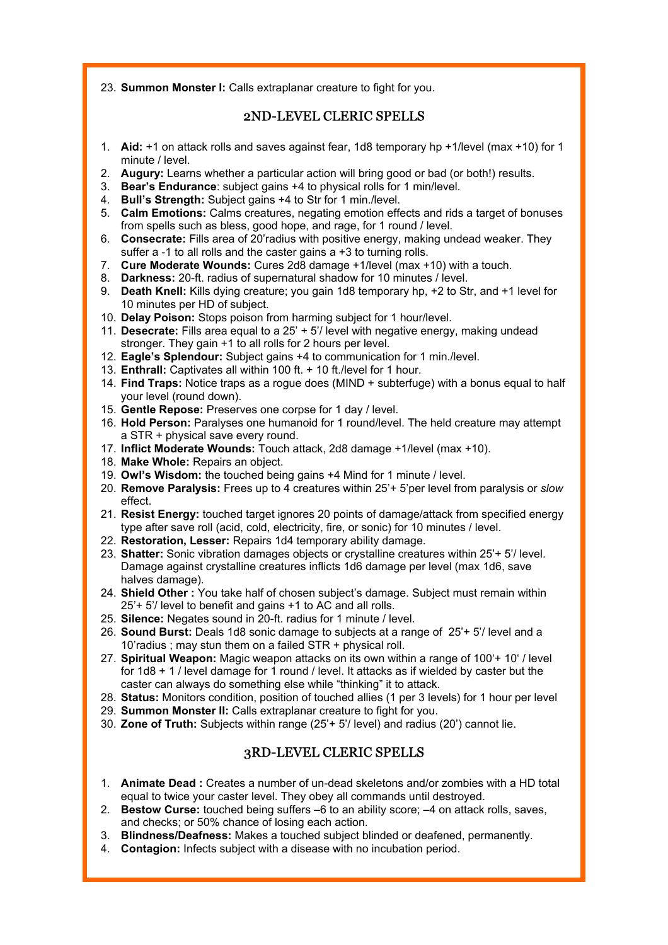23. **Summon Monster I:** Calls extraplanar creature to fight for you.

# 2ND-LEVEL CLERIC SPELLS

- 1. **Aid:** +1 on attack rolls and saves against fear, 1d8 temporary hp +1/level (max +10) for 1 minute / level.
- 2. **Augury:** Learns whether a particular action will bring good or bad (or both!) results.
- 3. **Bear's Endurance**: subject gains +4 to physical rolls for 1 min/level.
- 4. **Bull's Strength:** Subject gains +4 to Str for 1 min./level.
- 5. **Calm Emotions:** Calms creatures, negating emotion effects and rids a target of bonuses from spells such as bless, good hope, and rage, for 1 round / level.
- 6. **Consecrate:** Fills area of 20'radius with positive energy, making undead weaker. They suffer a -1 to all rolls and the caster gains a +3 to turning rolls.
- 7. **Cure Moderate Wounds:** Cures 2d8 damage +1/level (max +10) with a touch.
- 8. **Darkness:** 20-ft. radius of supernatural shadow for 10 minutes / level.
- 9. **Death Knell:** Kills dying creature; you gain 1d8 temporary hp, +2 to Str, and +1 level for 10 minutes per HD of subject.
- 10. **Delay Poison:** Stops poison from harming subject for 1 hour/level.
- 11. **Desecrate:** Fills area equal to a 25' + 5'/ level with negative energy, making undead stronger. They gain +1 to all rolls for 2 hours per level.
- 12. **Eagle's Splendour:** Subject gains +4 to communication for 1 min./level.
- 13. **Enthrall:** Captivates all within 100 ft. + 10 ft./level for 1 hour.
- 14. **Find Traps:** Notice traps as a rogue does (MIND + subterfuge) with a bonus equal to half your level (round down).
- 15. **Gentle Repose:** Preserves one corpse for 1 day / level.
- 16. **Hold Person:** Paralyses one humanoid for 1 round/level. The held creature may attempt a STR + physical save every round.
- 17. **Inflict Moderate Wounds:** Touch attack, 2d8 damage +1/level (max +10).
- 18. **Make Whole:** Repairs an object.
- 19. **Owl's Wisdom:** the touched being gains +4 Mind for 1 minute / level.
- 20. **Remove Paralysis:** Frees up to 4 creatures within 25'+ 5'per level from paralysis or *slow*  effect.
- 21. **Resist Energy:** touched target ignores 20 points of damage/attack from specified energy type after save roll (acid, cold, electricity, fire, or sonic) for 10 minutes / level.
- 22. **Restoration, Lesser:** Repairs 1d4 temporary ability damage.
- 23. **Shatter:** Sonic vibration damages objects or crystalline creatures within 25'+ 5'/ level. Damage against crystalline creatures inflicts 1d6 damage per level (max 1d6, save halves damage).
- 24. **Shield Other :** You take half of chosen subject's damage. Subject must remain within 25'+ 5'/ level to benefit and gains +1 to AC and all rolls.
- 25. **Silence:** Negates sound in 20-ft. radius for 1 minute / level.
- 26. **Sound Burst:** Deals 1d8 sonic damage to subjects at a range of 25'+ 5'/ level and a 10'radius ; may stun them on a failed STR + physical roll.
- 27. **Spiritual Weapon:** Magic weapon attacks on its own within a range of 100'+ 10' / level for 1d8 + 1 / level damage for 1 round / level. It attacks as if wielded by caster but the caster can always do something else while "thinking" it to attack.
- 28. **Status:** Monitors condition, position of touched allies (1 per 3 levels) for 1 hour per level
- 29. **Summon Monster II:** Calls extraplanar creature to fight for you.
- 30. **Zone of Truth:** Subjects within range (25'+ 5'/ level) and radius (20') cannot lie.

# 3RD-LEVEL CLERIC SPELLS

- 1. **Animate Dead :** Creates a number of un-dead skeletons and/or zombies with a HD total equal to twice your caster level. They obey all commands until destroyed.
- 2. **Bestow Curse:** touched being suffers –6 to an ability score; –4 on attack rolls, saves, and checks; or 50% chance of losing each action.
- 3. **Blindness/Deafness:** Makes a touched subject blinded or deafened, permanently.
- 4. **Contagion:** Infects subject with a disease with no incubation period.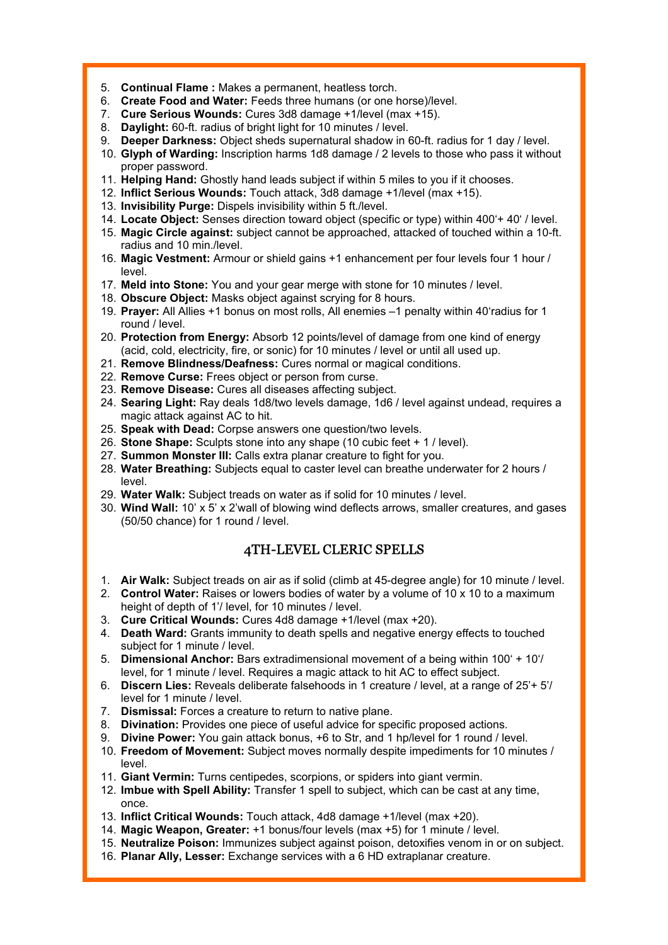- 5. **Continual Flame :** Makes a permanent, heatless torch.
- 6. **Create Food and Water:** Feeds three humans (or one horse)/level.
- 7. **Cure Serious Wounds:** Cures 3d8 damage +1/level (max +15).
- 8. **Daylight:** 60-ft. radius of bright light for 10 minutes / level.
- 9. **Deeper Darkness:** Object sheds supernatural shadow in 60-ft. radius for 1 day / level.
- 10. **Glyph of Warding:** Inscription harms 1d8 damage / 2 levels to those who pass it without proper password.
- 11. **Helping Hand:** Ghostly hand leads subject if within 5 miles to you if it chooses.
- 12. **Inflict Serious Wounds:** Touch attack, 3d8 damage +1/level (max +15).
- 13. **Invisibility Purge:** Dispels invisibility within 5 ft./level.
- 14. **Locate Object:** Senses direction toward object (specific or type) within 400'+ 40' / level.
- 15. **Magic Circle against:** subject cannot be approached, attacked of touched within a 10-ft. radius and 10 min./level.
- 16. **Magic Vestment:** Armour or shield gains +1 enhancement per four levels four 1 hour / level.
- 17. **Meld into Stone:** You and your gear merge with stone for 10 minutes / level.
- 18. **Obscure Object:** Masks object against scrying for 8 hours.
- 19. **Prayer:** All Allies +1 bonus on most rolls, All enemies –1 penalty within 40'radius for 1 round / level.
- 20. **Protection from Energy:** Absorb 12 points/level of damage from one kind of energy (acid, cold, electricity, fire, or sonic) for 10 minutes / level or until all used up.
- 21. **Remove Blindness/Deafness:** Cures normal or magical conditions.
- 22. **Remove Curse:** Frees object or person from curse.
- 23. **Remove Disease:** Cures all diseases affecting subject.
- 24. **Searing Light:** Ray deals 1d8/two levels damage, 1d6 / level against undead, requires a magic attack against AC to hit.
- 25. **Speak with Dead:** Corpse answers one question/two levels.
- 26. **Stone Shape:** Sculpts stone into any shape (10 cubic feet + 1 / level).
- 27. **Summon Monster III:** Calls extra planar creature to fight for you.
- 28. **Water Breathing:** Subjects equal to caster level can breathe underwater for 2 hours / level.
- 29. **Water Walk:** Subject treads on water as if solid for 10 minutes / level.
- 30. **Wind Wall:** 10' x 5' x 2'wall of blowing wind deflects arrows, smaller creatures, and gases (50/50 chance) for 1 round / level.

# 4TH-LEVEL CLERIC SPELLS

- 1. **Air Walk:** Subject treads on air as if solid (climb at 45-degree angle) for 10 minute / level.
- 2. **Control Water:** Raises or lowers bodies of water by a volume of 10 x 10 to a maximum height of depth of 1'/ level, for 10 minutes / level.
- 3. **Cure Critical Wounds:** Cures 4d8 damage +1/level (max +20).
- 4. **Death Ward:** Grants immunity to death spells and negative energy effects to touched subject for 1 minute / level.
- 5. **Dimensional Anchor:** Bars extradimensional movement of a being within 100' + 10'/ level, for 1 minute / level. Requires a magic attack to hit AC to effect subject.
- 6. **Discern Lies:** Reveals deliberate falsehoods in 1 creature / level, at a range of 25'+ 5'/ level for 1 minute / level.
- 7. **Dismissal:** Forces a creature to return to native plane.
- 8. **Divination:** Provides one piece of useful advice for specific proposed actions.
- 9. **Divine Power:** You gain attack bonus, +6 to Str, and 1 hp/level for 1 round / level.
- 10. **Freedom of Movement:** Subject moves normally despite impediments for 10 minutes / level.
- 11. **Giant Vermin:** Turns centipedes, scorpions, or spiders into giant vermin.
- 12. **Imbue with Spell Ability:** Transfer 1 spell to subject, which can be cast at any time, once.
- 13. **Inflict Critical Wounds:** Touch attack, 4d8 damage +1/level (max +20).
- 14. **Magic Weapon, Greater:** +1 bonus/four levels (max +5) for 1 minute / level.
- 15. **Neutralize Poison:** Immunizes subject against poison, detoxifies venom in or on subject.
- 16. **Planar Ally, Lesser:** Exchange services with a 6 HD extraplanar creature.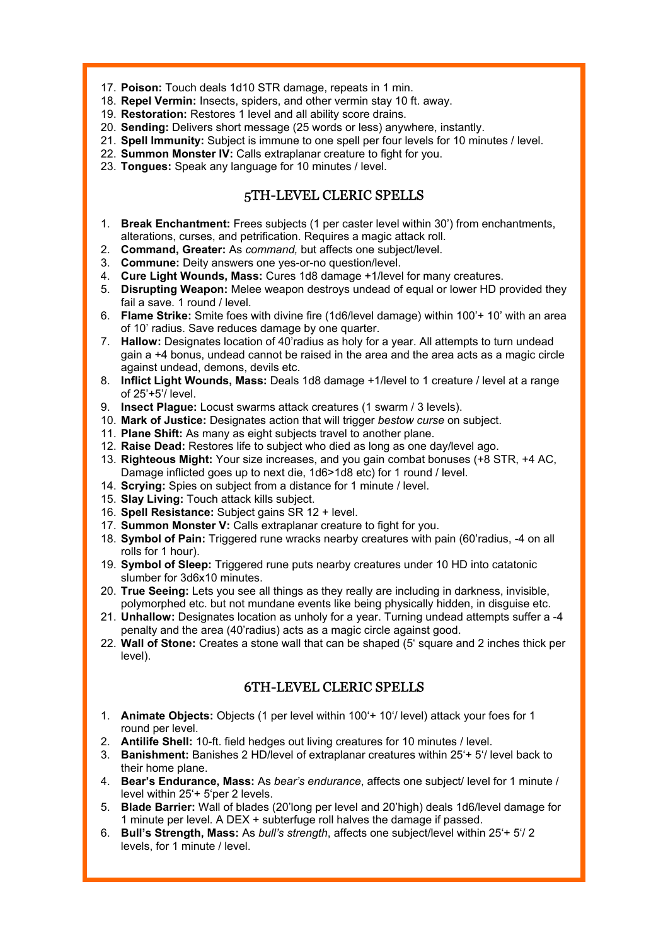- 17. **Poison:** Touch deals 1d10 STR damage, repeats in 1 min.
- 18. **Repel Vermin:** Insects, spiders, and other vermin stay 10 ft. away.
- 19. **Restoration:** Restores 1 level and all ability score drains.
- 20. **Sending:** Delivers short message (25 words or less) anywhere, instantly.
- 21. **Spell Immunity:** Subject is immune to one spell per four levels for 10 minutes / level.
- 22. **Summon Monster IV:** Calls extraplanar creature to fight for you.
- 23. **Tongues:** Speak any language for 10 minutes / level.

#### 5TH-LEVEL CLERIC SPELLS

- 1. **Break Enchantment:** Frees subjects (1 per caster level within 30') from enchantments, alterations, curses, and petrification. Requires a magic attack roll.
- 2. **Command, Greater:** As *command,* but affects one subject/level.
- 3. **Commune:** Deity answers one yes-or-no question/level.
- 4. **Cure Light Wounds, Mass:** Cures 1d8 damage +1/level for many creatures.
- 5. **Disrupting Weapon:** Melee weapon destroys undead of equal or lower HD provided they fail a save. 1 round / level.
- 6. **Flame Strike:** Smite foes with divine fire (1d6/level damage) within 100'+ 10' with an area of 10' radius. Save reduces damage by one quarter.
- 7. **Hallow:** Designates location of 40'radius as holy for a year. All attempts to turn undead gain a +4 bonus, undead cannot be raised in the area and the area acts as a magic circle against undead, demons, devils etc.
- 8. **Inflict Light Wounds, Mass:** Deals 1d8 damage +1/level to 1 creature / level at a range of 25'+5'/ level.
- 9. **Insect Plague:** Locust swarms attack creatures (1 swarm / 3 levels).
- 10. **Mark of Justice:** Designates action that will trigger *bestow curse* on subject.
- 11. **Plane Shift:** As many as eight subjects travel to another plane.
- 12. **Raise Dead:** Restores life to subject who died as long as one day/level ago.
- 13. **Righteous Might:** Your size increases, and you gain combat bonuses (+8 STR, +4 AC, Damage inflicted goes up to next die, 1d6>1d8 etc) for 1 round / level.
- 14. **Scrying:** Spies on subject from a distance for 1 minute / level.
- 15. **Slay Living:** Touch attack kills subject.
- 16. **Spell Resistance:** Subject gains SR 12 + level.
- 17. **Summon Monster V:** Calls extraplanar creature to fight for you.
- 18. **Symbol of Pain:** Triggered rune wracks nearby creatures with pain (60'radius, -4 on all rolls for 1 hour).
- 19. **Symbol of Sleep:** Triggered rune puts nearby creatures under 10 HD into catatonic slumber for 3d6x10 minutes.
- 20. **True Seeing:** Lets you see all things as they really are including in darkness, invisible, polymorphed etc. but not mundane events like being physically hidden, in disguise etc.
- 21. **Unhallow:** Designates location as unholy for a year. Turning undead attempts suffer a -4 penalty and the area (40'radius) acts as a magic circle against good.
- 22. **Wall of Stone:** Creates a stone wall that can be shaped (5' square and 2 inches thick per level).

# 6TH-LEVEL CLERIC SPELLS

- 1. **Animate Objects:** Objects (1 per level within 100'+ 10'/ level) attack your foes for 1 round per level.
- 2. **Antilife Shell:** 10-ft. field hedges out living creatures for 10 minutes / level.
- 3. **Banishment:** Banishes 2 HD/level of extraplanar creatures within 25'+ 5'/ level back to their home plane.
- 4. **Bear's Endurance, Mass:** As *bear's endurance*, affects one subject/ level for 1 minute / level within 25'+ 5'per 2 levels.
- 5. **Blade Barrier:** Wall of blades (20'long per level and 20'high) deals 1d6/level damage for 1 minute per level. A DEX + subterfuge roll halves the damage if passed.
- 6. **Bull's Strength, Mass:** As *bull's strength*, affects one subject/level within 25'+ 5'/ 2 levels, for 1 minute / level.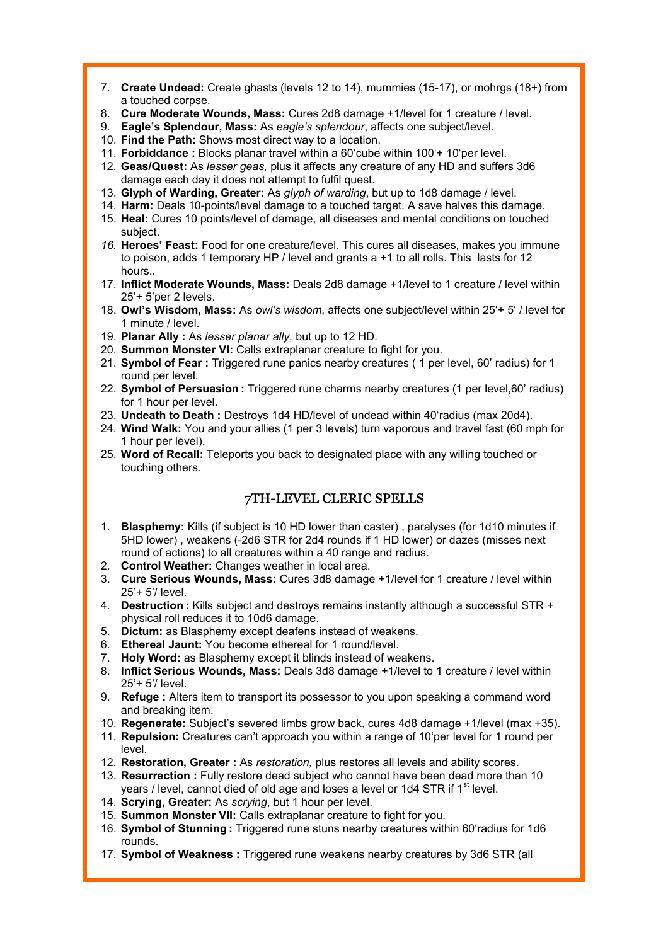- 7. **Create Undead:** Create ghasts (levels 12 to 14), mummies (15-17), or mohrgs (18+) from a touched corpse.
- 8. **Cure Moderate Wounds, Mass:** Cures 2d8 damage +1/level for 1 creature / level.
- 9. **Eagle's Splendour, Mass:** As *eagle's splendour*, affects one subject/level.
- 10. **Find the Path:** Shows most direct way to a location.
- 11. **Forbiddance :** Blocks planar travel within a 60'cube within 100'+ 10'per level.
- 12. **Geas/Quest:** As *lesser geas,* plus it affects any creature of any HD and suffers 3d6 damage each day it does not attempt to fulfil quest.
- 13. **Glyph of Warding, Greater:** As *glyph of warding*, but up to 1d8 damage / level.
- 14. **Harm:** Deals 10-points/level damage to a touched target. A save halves this damage.
- 15. **Heal:** Cures 10 points/level of damage, all diseases and mental conditions on touched subject.
- *16.* **Heroes' Feast:** Food for one creature/level. This cures all diseases, makes you immune to poison, adds 1 temporary HP / level and grants a +1 to all rolls. This lasts for 12 hours.*.*
- 17. **Inflict Moderate Wounds, Mass:** Deals 2d8 damage +1/level to 1 creature / level within 25'+ 5'per 2 levels.
- 18. **Owl's Wisdom, Mass:** As *owl's wisdom*, affects one subject/level within 25'+ 5' / level for 1 minute / level.
- 19. **Planar Ally :** As *lesser planar ally,* but up to 12 HD.
- 20. **Summon Monster VI:** Calls extraplanar creature to fight for you.
- 21. **Symbol of Fear :** Triggered rune panics nearby creatures ( 1 per level, 60' radius) for 1 round per level.
- 22. **Symbol of Persuasion :** Triggered rune charms nearby creatures (1 per level,60' radius) for 1 hour per level.
- 23. **Undeath to Death :** Destroys 1d4 HD/level of undead within 40'radius (max 20d4).
- 24. **Wind Walk:** You and your allies (1 per 3 levels) turn vaporous and travel fast (60 mph for 1 hour per level).
- 25. **Word of Recall:** Teleports you back to designated place with any willing touched or touching others.

# 7TH-LEVEL CLERIC SPELLS

- 1. **Blasphemy:** Kills (if subject is 10 HD lower than caster) , paralyses (for 1d10 minutes if 5HD lower) , weakens (-2d6 STR for 2d4 rounds if 1 HD lower) or dazes (misses next round of actions) to all creatures within a 40 range and radius.
- 2. **Control Weather:** Changes weather in local area.
- 3. **Cure Serious Wounds, Mass:** Cures 3d8 damage +1/level for 1 creature / level within 25'+ 5'/ level.
- 4. **Destruction :** Kills subject and destroys remains instantly although a successful STR + physical roll reduces it to 10d6 damage.
- 5. **Dictum:** as Blasphemy except deafens instead of weakens.
- 6. **Ethereal Jaunt:** You become ethereal for 1 round/level.
- 7. **Holy Word:** as Blasphemy except it blinds instead of weakens.
- 8. **Inflict Serious Wounds, Mass:** Deals 3d8 damage +1/level to 1 creature / level within 25'+ 5'/ level.
- 9. **Refuge :** Alters item to transport its possessor to you upon speaking a command word and breaking item.
- 10. **Regenerate:** Subject's severed limbs grow back, cures 4d8 damage +1/level (max +35).
- 11. **Repulsion:** Creatures can't approach you within a range of 10'per level for 1 round per level.
- 12. **Restoration, Greater :** As *restoration,* plus restores all levels and ability scores.
- 13. **Resurrection :** Fully restore dead subject who cannot have been dead more than 10 years / level, cannot died of old age and loses a level or 1d4 STR if  $1<sup>st</sup>$  level.
- 14. **Scrying, Greater:** As *scrying*, but 1 hour per level.
- 15. **Summon Monster VII:** Calls extraplanar creature to fight for you.
- 16. **Symbol of Stunning :** Triggered rune stuns nearby creatures within 60'radius for 1d6 rounds.
- 17. **Symbol of Weakness :** Triggered rune weakens nearby creatures by 3d6 STR (all